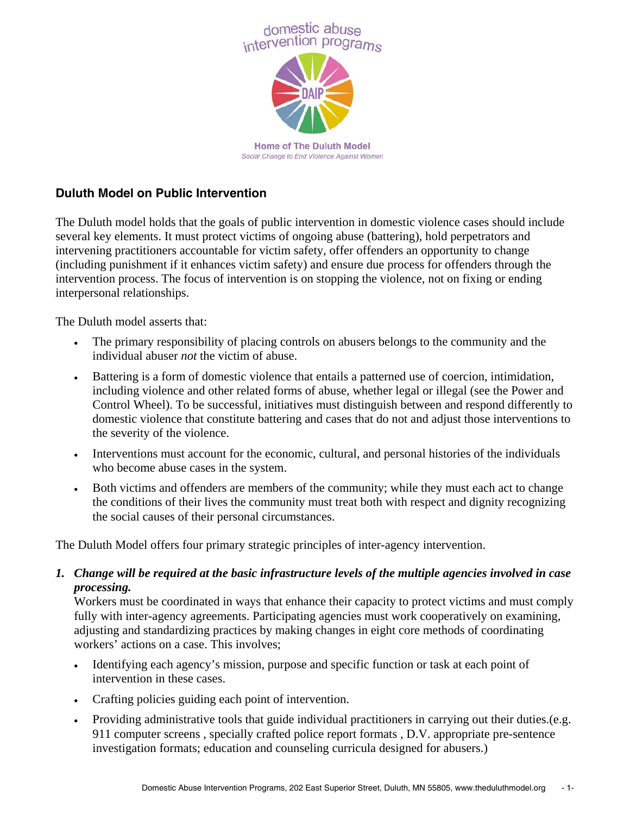# domestic abuse intervention programs



#### Social Change to End Violence Against Women

## **Duluth Model on Public Intervention**

The Duluth model holds that the goals of public intervention in domestic violence cases should include several key elements. It must protect victims of ongoing abuse (battering), hold perpetrators and intervening practitioners accountable for victim safety, offer offenders an opportunity to change (including punishment if it enhances victim safety) and ensure due process for offenders through the intervention process. The focus of intervention is on stopping the violence, not on fixing or ending interpersonal relationships.

The Duluth model asserts that:

- The primary responsibility of placing controls on abusers belongs to the community and the individual abuser *not* the victim of abuse.
- Battering is a form of domestic violence that entails a patterned use of coercion, intimidation, including violence and other related forms of abuse, whether legal or illegal (see the Power and Control Wheel). To be successful, initiatives must distinguish between and respond differently to domestic violence that constitute battering and cases that do not and adjust those interventions to the severity of the violence.
- Interventions must account for the economic, cultural, and personal histories of the individuals who become abuse cases in the system.
- Both victims and offenders are members of the community; while they must each act to change the conditions of their lives the community must treat both with respect and dignity recognizing the social causes of their personal circumstances.

The Duluth Model offers four primary strategic principles of inter-agency intervention.

*1. Change will be required at the basic infrastructure levels of the multiple agencies involved in case processing.* 

Workers must be coordinated in ways that enhance their capacity to protect victims and must comply fully with inter-agency agreements. Participating agencies must work cooperatively on examining, adjusting and standardizing practices by making changes in eight core methods of coordinating workers' actions on a case. This involves;

- Identifying each agency's mission, purpose and specific function or task at each point of intervention in these cases.
- Crafting policies guiding each point of intervention.
- Providing administrative tools that guide individual practitioners in carrying out their duties.(e.g. 911 computer screens , specially crafted police report formats , D.V. appropriate pre-sentence investigation formats; education and counseling curricula designed for abusers.)